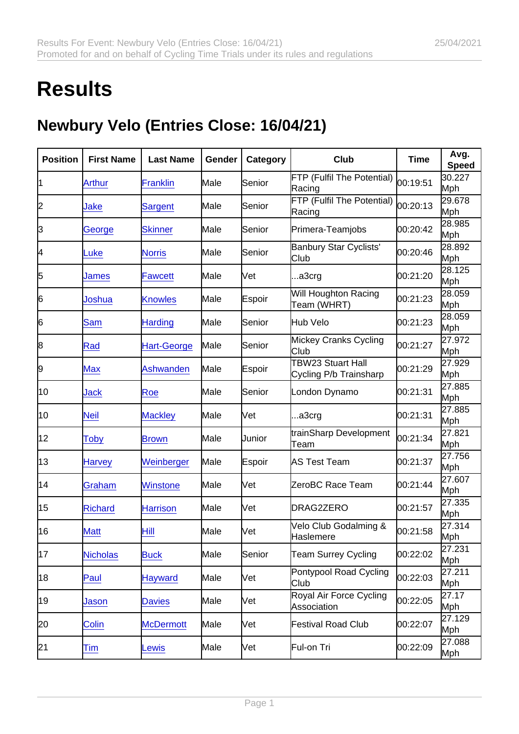## **Results**

## Newbury Velo (Entries Close: 16/04/21)

| Position | <b>First Name</b> | Last Name          | Gender | Category | Club                                               | Time     | Avg.<br>Speed |
|----------|-------------------|--------------------|--------|----------|----------------------------------------------------|----------|---------------|
| 11       | <b>Arthur</b>     | <b>Franklin</b>    | Male   | Senior   | FTP (Fulfil The Potential)<br>Racing               | 00:19:51 | 30.227<br>Mph |
| 2        | Jake              | Sargent            | Male   | Senior   | FTP (Fulfil The Potential)<br>Racing               | 00:20:13 | 29.678<br>Mph |
| 3        | George            | <b>Skinner</b>     | Male   | Senior   | Primera-Teamjobs                                   | 00:20:42 | 28.985<br>Mph |
| 4        | Luke              | <b>Norris</b>      | Male   | Senior   | <b>Banbury Star Cyclists'</b><br>Club              | 00:20:46 | 28.892<br>Mph |
| 5        | James             | <b>Fawcett</b>     | Male   | Vet      | a3crg                                              | 00:21:20 | 28.125<br>Mph |
| 6        | Joshua            | <b>Knowles</b>     | Male   | Espoir   | Will Houghton Racing<br>Team (WHRT)                | 00:21:23 | 28.059<br>Mph |
| 6        | <b>Sam</b>        | <b>Harding</b>     | Male   | Senior   | Hub Velo                                           | 00:21:23 | 28.059<br>Mph |
| 8        | Rad               | <b>Hart-George</b> | Male   | Senior   | Mickey Cranks Cycling<br>Club                      | 00:21:27 | 27.972<br>Mph |
| 9        | <b>Max</b>        | <b>Ashwanden</b>   | Male   | Espoir   | <b>TBW23 Stuart Hall</b><br>Cycling P/b Trainsharp | 00:21:29 | 27.929<br>Mph |
| 10       | Jack              | Roe                | Male   | Senior   | London Dynamo                                      | 00:21:31 | 27.885<br>Mph |
| 10       | <b>Neil</b>       | <b>Mackley</b>     | Male   | Vet      | a3crg                                              | 00:21:31 | 27.885<br>Mph |
| 12       | Toby              | <b>Brown</b>       | Male   | Junior   | trainSharp Development<br>Team                     | 00:21:34 | 27.821<br>Mph |
| 13       | <b>Harvey</b>     | Weinberger         | Male   | Espoir   | AS Test Team                                       | 00:21:37 | 27.756<br>Mph |
| 14       | Graham            | Winstone           | Male   | Vet      | ZeroBC Race Team                                   | 00:21:44 | 27.607<br>Mph |
| 15       | <b>Richard</b>    | <b>Harrison</b>    | Male   | Vet      | DRAG2ZERO                                          | 00:21:57 | 27.335<br>Mph |
| 16       | <b>Matt</b>       | Hill               | Male   | Vet      | Velo Club Godalming &<br>Haslemere                 | 00:21:58 | 27.314<br>Mph |
| 17       | <b>Nicholas</b>   | <b>Buck</b>        | Male   | Senior   | <b>Team Surrey Cycling</b>                         | 00:22:02 | 27.231<br>Mph |
| 18       | Paul              | <b>Hayward</b>     | Male   | Vet      | Pontypool Road Cycling<br>Club                     | 00:22:03 | 27.211<br>Mph |
| 19       | Jason             | <b>Davies</b>      | Male   | Vet      | Royal Air Force Cycling<br>Association             | 00:22:05 | 27.17<br>Mph  |
| 20       | <b>Colin</b>      | <b>McDermott</b>   | Male   | Vet      | <b>Festival Road Club</b>                          | 00:22:07 | 27.129<br>Mph |
| 21       | Tim               | Lewis              | Male   | Vet      | Ful-on Tri                                         | 00:22:09 | 27.088<br>Mph |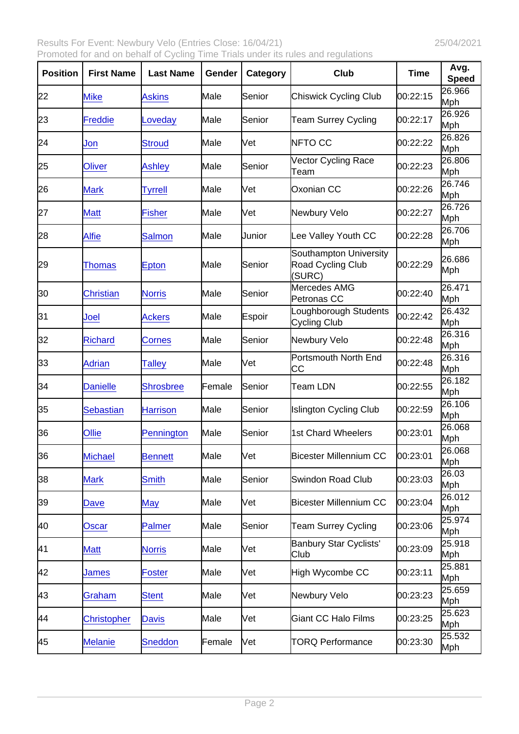Results For Event: Newbury Velo (Entries Close: 16/04/21) 25/04/2021 Promoted for and on behalf of Cycling Time Trials under its rules and regulations

| Position | <b>First Name</b>  | Last Name        | Gender | Category      | Club                                                         | Time     | Avg.<br>Speed |
|----------|--------------------|------------------|--------|---------------|--------------------------------------------------------------|----------|---------------|
| 22       | <b>Mike</b>        | <b>Askins</b>    | Male   | Senior        | <b>Chiswick Cycling Club</b>                                 | 00:22:15 | 26.966<br>Mph |
| 23       | Freddie            | Loveday          | Male   | <b>Senior</b> | <b>Team Surrey Cycling</b>                                   | 00:22:17 | 26.926<br>Mph |
| 24       | Jon                | <b>Stroud</b>    | Male   | Vet           | NFTO CC                                                      | 00:22:22 | 26.826<br>Mph |
| 25       | <b>Oliver</b>      | <b>Ashley</b>    | Male   | lSenior       | Vector Cycling Race<br>Team                                  | 00:22:23 | 26.806<br>Mph |
| 26       | <b>Mark</b>        | Tyrrell          | Male   | Vet           | Oxonian CC                                                   | 00:22:26 | 26.746<br>Mph |
| 27       | <b>Matt</b>        | <b>Fisher</b>    | Male   | lVet          | Newbury Velo                                                 | 00:22:27 | 26.726<br>Mph |
| 28       | <b>Alfie</b>       | Salmon           | Male   | Junior        | Lee Valley Youth CC                                          | 00:22:28 | 26.706<br>Mph |
| 29       | Thomas             | Epton            | Male   | Senior        | Southampton University<br><b>Road Cycling Club</b><br>(SURC) | 00:22:29 | 26.686<br>Mph |
| 30       | <b>Christian</b>   | <b>Norris</b>    | Male   | <b>Senior</b> | Mercedes AMG<br>Petronas CC                                  | 00:22:40 | 26.471<br>Mph |
| 31       | Joel               | <b>Ackers</b>    | Male   | Espoir        | Loughborough Students<br>Cycling Club                        | 00:22:42 | 26.432<br>Mph |
| 32       | <b>Richard</b>     | Cornes           | Male   | Senior        | Newbury Velo                                                 | 00:22:48 | 26.316<br>Mph |
| 33       | <b>Adrian</b>      | Talley           | Male   | lVet          | Portsmouth North End<br>CС                                   | 00:22:48 | 26.316<br>Mph |
| 34       | <b>Danielle</b>    | <b>Shrosbree</b> | Female | <b>Senior</b> | Team LDN                                                     | 00:22:55 | 26.182<br>Mph |
| 35       | <b>Sebastian</b>   | <b>Harrison</b>  | Male   | Senior        | <b>Islington Cycling Club</b>                                | 00:22:59 | 26.106<br>Mph |
| 36       | Ollie              | Pennington       | Male   | Senior        | 1st Chard Wheelers                                           | 00:23:01 | 26.068<br>Mph |
| 36       | <b>Michael</b>     | <b>Bennett</b>   | Male   | Vet           | <b>Bicester Millennium CC</b>                                | 00:23:01 | 26.068<br>Mph |
| 38       | <b>Mark</b>        | <b>Smith</b>     | Male   | Senior        | Swindon Road Club                                            | 00:23:03 | 26.03<br>Mph  |
| 39       | Dave               | May              | Male   | [Vet          | <b>Bicester Millennium CC</b>                                | 00:23:04 | 26.012<br>Mph |
| 40       | Oscar              | <b>Palmer</b>    | Male   | Senior        | <b>Team Surrey Cycling</b>                                   | 00:23:06 | 25.974<br>Mph |
| 41       | <b>Matt</b>        | <b>Norris</b>    | Male   | Vet           | <b>Banbury Star Cyclists'</b><br>Club                        | 00:23:09 | 25.918<br>Mph |
| 42       | James              | <b>Foster</b>    | Male   | [Vet          | High Wycombe CC                                              | 00:23:11 | 25.881<br>Mph |
| 43       | Graham             | <b>Stent</b>     | Male   | [Vet          | Newbury Velo                                                 | 00:23:23 | 25.659<br>Mph |
| 44       | <b>Christopher</b> | <b>Davis</b>     | Male   | [Vet          | <b>Giant CC Halo Films</b>                                   | 00:23:25 | 25.623<br>Mph |
| 45       | <b>Melanie</b>     | <b>Sneddon</b>   | Female | Vet           | <b>TORQ Performance</b>                                      | 00:23:30 | 25.532<br>Mph |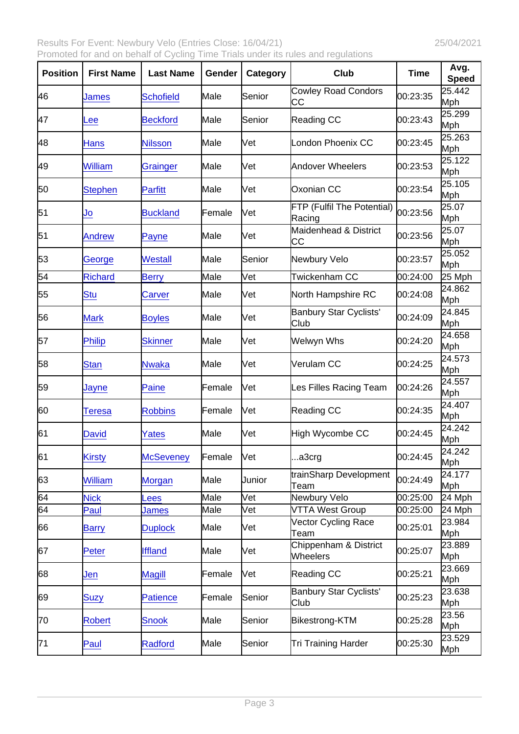Results For Event: Newbury Velo (Entries Close: 16/04/21) 25/04/2021 Promoted for and on behalf of Cycling Time Trials under its rules and regulations

| Position | <b>First Name</b> | Last Name        | Gender | Category      | Club                                  | Time     | Avg.<br>Speed |
|----------|-------------------|------------------|--------|---------------|---------------------------------------|----------|---------------|
| 46       | James             | <b>Schofield</b> | Male   | Senior        | <b>Cowley Road Condors</b><br>СC      | 00:23:35 | 25.442<br>Mph |
| 47       | .ee               | <b>Beckford</b>  | Male   | Senior        | Reading CC                            | 00:23:43 | 25.299<br>Mph |
| 48       | <b>Hans</b>       | <b>Nilsson</b>   | Male   | lVet          | London Phoenix CC                     | 00:23:45 | 25.263<br>Mph |
| 49       | <b>William</b>    | Grainger         | Male   | lVet          | <b>Andover Wheelers</b>               | 00:23:53 | 25.122<br>Mph |
| 50       | <b>Stephen</b>    | <b>Parfitt</b>   | Male   | [Vet          | Oxonian CC                            | 00:23:54 | 25.105<br>Mph |
| 51       | Jo                | <b>Buckland</b>  | Female | Vet           | FTP (Fulfil The Potential)<br>Racing  | 00:23:56 | 25.07<br>Mph  |
| 51       | <b>Andrew</b>     | Payne            | Male   | Vet           | Maidenhead & District<br>CС           | 00:23:56 | 25.07<br>Mph  |
| 53       | George            | <b>Westall</b>   | Male   | <b>Senior</b> | Newbury Velo                          | 00:23:57 | 25.052<br>Mph |
| 54       | <b>Richard</b>    | <b>Berry</b>     | Male   | Vet           | Twickenham CC                         | 00:24:00 | 25 Mph        |
| 55       | <b>Stu</b>        | Carver           | Male   | [Vet          | North Hampshire RC                    | 00:24:08 | 24.862<br>Mph |
| 56       | <b>Mark</b>       | <b>Boyles</b>    | Male   | Vet           | <b>Banbury Star Cyclists'</b><br>Club | 00:24:09 | 24.845<br>Mph |
| 57       | Philip            | <b>Skinner</b>   | Male   | Vet           | Welwyn Whs                            | 00:24:20 | 24.658<br>Mph |
| 58       | <b>Stan</b>       | <b>Nwaka</b>     | Male   | Vet           | Verulam CC                            | 00:24:25 | 24.573<br>Mph |
| 59       | Jayne             | Paine            | Female | Vet           | Les Filles Racing Team                | 00:24:26 | 24.557<br>Mph |
| 60       | Teresa            | <b>Robbins</b>   | Female | Vet           | Reading CC                            | 00:24:35 | 24.407<br>Mph |
| 61       | <b>David</b>      | Yates            | Male   | Vet           | High Wycombe CC                       | 00:24:45 | 24.242<br>Mph |
| 61       | <b>Kirsty</b>     | <b>McSeveney</b> | Female | Vet           | a3crg                                 | 00:24:45 | 24.242<br>Mph |
| 63       | <b>William</b>    | <b>Morgan</b>    | Male   | Junior        | trainSharp Development<br>Team        | 00:24:49 | 24.177<br>Mph |
| 64       | <b>Nick</b>       | Lees             | Male   | Vet           | Newbury Velo                          | 00:25:00 | 24 Mph        |
| 64       | Paul              | James            | Male   | Vet           | <b>VTTA West Group</b>                | 00:25:00 | 24 Mph        |
| 66       | <b>Barry</b>      | <b>Duplock</b>   | Male   | [Vet          | Vector Cycling Race<br>Team           | 00:25:01 | 23.984<br>Mph |
| 67       | Peter             | <b>Iffland</b>   | Male   | [Vet          | Chippenham & District<br>Wheelers     | 00:25:07 | 23.889<br>Mph |
| 68       | Jen               | <b>Magill</b>    | Female | Vet           | Reading CC                            | 00:25:21 | 23.669<br>Mph |
| 69       | <b>Suzy</b>       | <b>Patience</b>  | Female | Senior        | <b>Banbury Star Cyclists'</b><br>Club | 00:25:23 | 23.638<br>Mph |
| 70       | <b>Robert</b>     | <b>Snook</b>     | Male   | Senior        | Bikestrong-KTM                        | 00:25:28 | 23.56<br>Mph  |
| 71       | Paul              | <b>Radford</b>   | Male   | Senior        | Tri Training Harder                   | 00:25:30 | 23.529<br>Mph |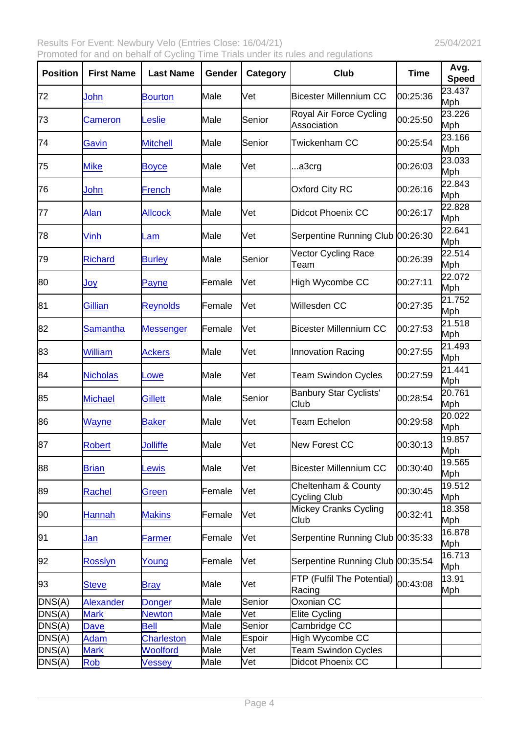| Position | <b>First Name</b> | Last Name         | Gender | Category | Club                                   | Time     | Avg.<br>Speed |
|----------|-------------------|-------------------|--------|----------|----------------------------------------|----------|---------------|
| 72       | John              | <b>Bourton</b>    | Male   | Vet      | Bicester Millennium CC                 | 00:25:36 | 23.437<br>Mph |
| 73       | Cameron           | Leslie            | Male   | Senior   | Royal Air Force Cycling<br>Association | 00:25:50 | 23.226<br>Mph |
| 74       | Gavin             | <b>Mitchell</b>   | Male   | Senior   | Twickenham CC                          | 00:25:54 | 23.166<br>Mph |
| 75       | <b>Mike</b>       | <b>Boyce</b>      | Male   | Vet      | a3crg                                  | 00:26:03 | 23.033<br>Mph |
| 76       | John              | <b>French</b>     | Male   |          | <b>Oxford City RC</b>                  | 00:26:16 | 22.843<br>Mph |
| 77       | Alan              | <b>Allcock</b>    | Male   | Vet      | Didcot Phoenix CC                      | 00:26:17 | 22.828<br>Mph |
| 78       | <b>Vinh</b>       | Lam               | Male   | Vet      | Serpentine Running Club                | 00:26:30 | 22.641<br>Mph |
| 79       | <b>Richard</b>    | <b>Burley</b>     | Male   | Senior   | Vector Cycling Race<br>Team            | 00:26:39 | 22.514<br>Mph |
| 80       | Joy               | Payne             | Female | Vet      | High Wycombe CC                        | 00:27:11 | 22.072<br>Mph |
| 81       | Gillian           | <b>Reynolds</b>   | Female | Vet      | Willesden CC                           | 00:27:35 | 21.752<br>Mph |
| 82       | <b>Samantha</b>   | <b>Messenger</b>  | Female | Vet      | Bicester Millennium CC                 | 00:27:53 | 21.518<br>Mph |
| 83       | <b>William</b>    | <b>Ackers</b>     | Male   | Vet      | Innovation Racing                      | 00:27:55 | 21.493<br>Mph |
| 84       | <b>Nicholas</b>   | Lowe              | Male   | Vet      | Team Swindon Cycles                    | 00:27:59 | 21.441<br>Mph |
| 85       | <b>Michael</b>    | <b>Gillett</b>    | Male   | Senior   | Banbury Star Cyclists'<br>Club         | 00:28:54 | 20.761<br>Mph |
| 86       | Wayne             | <b>Baker</b>      | Male   | Vet      | Team Echelon                           | 00:29:58 | 20.022<br>Mph |
| 87       | <b>Robert</b>     | <b>Jolliffe</b>   | Male   | Vet      | New Forest CC                          | 00:30:13 | 19.857<br>Mph |
| 88       | <b>Brian</b>      | _ewis             | Male   | Vet      | Bicester Millennium CC                 | 00:30:40 | 19.565<br>Mph |
| 89       | Rachel            | Green             | Female | Vet      | Cheltenham & County<br>Cycling Club    | 00:30:45 | 19.512<br>Mph |
| 90       | Hannah            | <b>Makins</b>     | Female | Vet      | Mickey Cranks Cycling<br>Club          | 00:32:41 | 18.358<br>Mph |
| 91       | Jan               | Farmer            | Female | Vet      | Serpentine Running Club 00:35:33       |          | 16.878<br>Mph |
| 92       | <b>Rosslyn</b>    | Young             | Female | Vet      | Serpentine Running Club 00:35:54       |          | 16.713<br>Mph |
| 93       | <b>Steve</b>      | <b>Bray</b>       | Male   | Vet      | FTP (Fulfil The Potential)<br>Racing   | 00:43:08 | 13.91<br>Mph  |
| DNS(A)   | Alexander         | Donger            | Male   | Senior   | Oxonian CC                             |          |               |
| DNS(A)   | <b>Mark</b>       | <b>Newton</b>     | Male   | Vet      | Elite Cycling                          |          |               |
| DNS(A)   | Dave              | <b>Bell</b>       | Male   | Senior   | Cambridge CC                           |          |               |
| DNS(A)   | Adam              | <b>Charleston</b> | Male   | Espoir   | High Wycombe CC                        |          |               |
| DNS(A)   | <b>Mark</b>       | Woolford          | Male   | Vet      | Team Swindon Cycles                    |          |               |
| DNS(A)   | Rob               | Vessey            | Male   | Vet      | Didcot Phoenix CC                      |          |               |